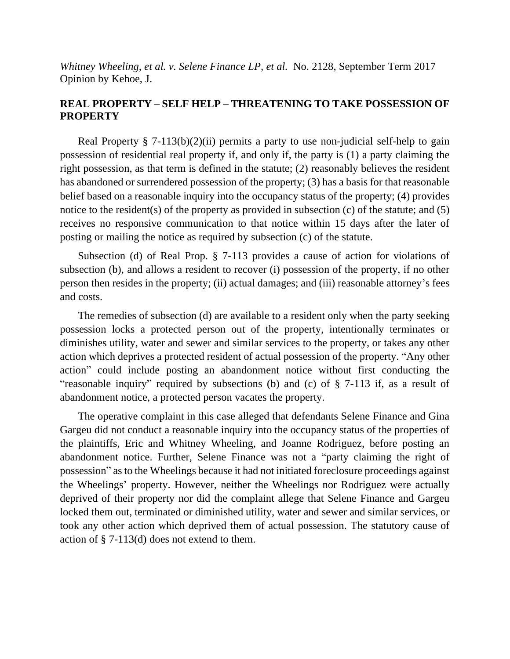*Whitney Wheeling, et al. v. Selene Finance LP, et al.* No. 2128, September Term 2017 Opinion by Kehoe, J.

## **REAL PROPERTY – SELF HELP – THREATENING TO TAKE POSSESSION OF PROPERTY**

Real Property  $\S$  7-113(b)(2)(ii) permits a party to use non-judicial self-help to gain possession of residential real property if, and only if, the party is (1) a party claiming the right possession, as that term is defined in the statute; (2) reasonably believes the resident has abandoned or surrendered possession of the property; (3) has a basis for that reasonable belief based on a reasonable inquiry into the occupancy status of the property; (4) provides notice to the resident(s) of the property as provided in subsection (c) of the statute; and (5) receives no responsive communication to that notice within 15 days after the later of posting or mailing the notice as required by subsection (c) of the statute.

Subsection (d) of Real Prop. § 7-113 provides a cause of action for violations of subsection (b), and allows a resident to recover (i) possession of the property, if no other person then resides in the property; (ii) actual damages; and (iii) reasonable attorney's fees and costs.

The remedies of subsection (d) are available to a resident only when the party seeking possession locks a protected person out of the property, intentionally terminates or diminishes utility, water and sewer and similar services to the property, or takes any other action which deprives a protected resident of actual possession of the property. "Any other action" could include posting an abandonment notice without first conducting the "reasonable inquiry" required by subsections (b) and (c) of § 7-113 if, as a result of abandonment notice, a protected person vacates the property.

The operative complaint in this case alleged that defendants Selene Finance and Gina Gargeu did not conduct a reasonable inquiry into the occupancy status of the properties of the plaintiffs, Eric and Whitney Wheeling, and Joanne Rodriguez, before posting an abandonment notice. Further, Selene Finance was not a "party claiming the right of possession" as to the Wheelings because it had not initiated foreclosure proceedings against the Wheelings' property. However, neither the Wheelings nor Rodriguez were actually deprived of their property nor did the complaint allege that Selene Finance and Gargeu locked them out, terminated or diminished utility, water and sewer and similar services, or took any other action which deprived them of actual possession. The statutory cause of action of § 7-113(d) does not extend to them.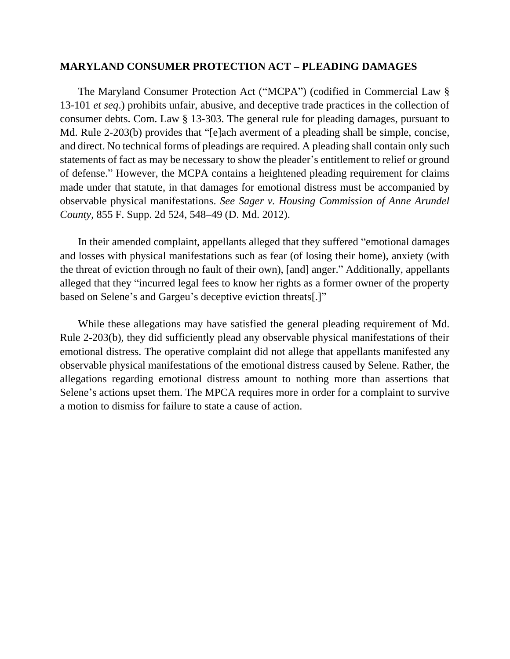#### **MARYLAND CONSUMER PROTECTION ACT – PLEADING DAMAGES**

The Maryland Consumer Protection Act ("MCPA") (codified in Commercial Law § 13-101 *et seq*.) prohibits unfair, abusive, and deceptive trade practices in the collection of consumer debts. Com. Law § 13-303. The general rule for pleading damages, pursuant to Md. Rule 2-203(b) provides that "[e]ach averment of a pleading shall be simple, concise, and direct. No technical forms of pleadings are required. A pleading shall contain only such statements of fact as may be necessary to show the pleader's entitlement to relief or ground of defense." However, the MCPA contains a heightened pleading requirement for claims made under that statute, in that damages for emotional distress must be accompanied by observable physical manifestations. *See Sager v. Housing Commission of Anne Arundel County*, 855 F. Supp. 2d 524, 548–49 (D. Md. 2012).

In their amended complaint, appellants alleged that they suffered "emotional damages and losses with physical manifestations such as fear (of losing their home), anxiety (with the threat of eviction through no fault of their own), [and] anger." Additionally, appellants alleged that they "incurred legal fees to know her rights as a former owner of the property based on Selene's and Gargeu's deceptive eviction threats[.]"

While these allegations may have satisfied the general pleading requirement of Md. Rule 2-203(b), they did sufficiently plead any observable physical manifestations of their emotional distress. The operative complaint did not allege that appellants manifested any observable physical manifestations of the emotional distress caused by Selene. Rather, the allegations regarding emotional distress amount to nothing more than assertions that Selene's actions upset them. The MPCA requires more in order for a complaint to survive a motion to dismiss for failure to state a cause of action.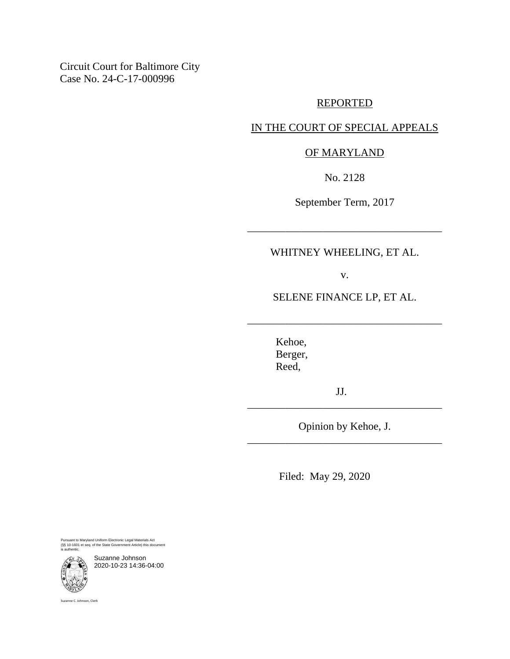Circuit Court for Baltimore City Case No. 24-C-17-000996

# REPORTED

## IN THE COURT OF SPECIAL APPEALS

### OF MARYLAND

No. 2128

September Term, 2017

\_\_\_\_\_\_\_\_\_\_\_\_\_\_\_\_\_\_\_\_\_\_\_\_\_\_\_\_\_\_\_\_\_\_\_\_

### WHITNEY WHEELING, ET AL.

v.

SELENE FINANCE LP, ET AL.

\_\_\_\_\_\_\_\_\_\_\_\_\_\_\_\_\_\_\_\_\_\_\_\_\_\_\_\_\_\_\_\_\_\_\_\_

Kehoe, Berger, Reed,

JJ. \_\_\_\_\_\_\_\_\_\_\_\_\_\_\_\_\_\_\_\_\_\_\_\_\_\_\_\_\_\_\_\_\_\_\_\_

Opinion by Kehoe, J. \_\_\_\_\_\_\_\_\_\_\_\_\_\_\_\_\_\_\_\_\_\_\_\_\_\_\_\_\_\_\_\_\_\_\_\_

Filed: May 29, 2020

Pursuant to Maryland Uniform Electronic Legal Materials Act (§§ 10-1601 et seq. of the State Government Article) this document is authentic.

Suzanne Johnson 2020-10-23 14:36-04:00

Suzanne C. Johnson, Clerk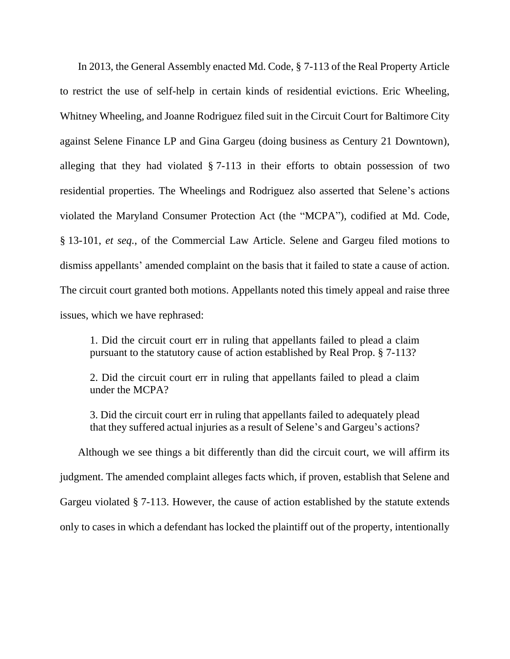In 2013, the General Assembly enacted Md. Code, § 7-113 of the Real Property Article to restrict the use of self-help in certain kinds of residential evictions. Eric Wheeling, Whitney Wheeling, and Joanne Rodriguez filed suit in the Circuit Court for Baltimore City against Selene Finance LP and Gina Gargeu (doing business as Century 21 Downtown), alleging that they had violated § 7-113 in their efforts to obtain possession of two residential properties. The Wheelings and Rodriguez also asserted that Selene's actions violated the Maryland Consumer Protection Act (the "MCPA"), codified at Md. Code, § 13-101, *et seq.*, of the Commercial Law Article. Selene and Gargeu filed motions to dismiss appellants' amended complaint on the basis that it failed to state a cause of action. The circuit court granted both motions. Appellants noted this timely appeal and raise three issues, which we have rephrased:

1. Did the circuit court err in ruling that appellants failed to plead a claim pursuant to the statutory cause of action established by Real Prop. § 7-113?

2. Did the circuit court err in ruling that appellants failed to plead a claim under the MCPA?

3. Did the circuit court err in ruling that appellants failed to adequately plead that they suffered actual injuries as a result of Selene's and Gargeu's actions?

Although we see things a bit differently than did the circuit court, we will affirm its judgment. The amended complaint alleges facts which, if proven, establish that Selene and Gargeu violated § 7-113. However, the cause of action established by the statute extends only to cases in which a defendant has locked the plaintiff out of the property, intentionally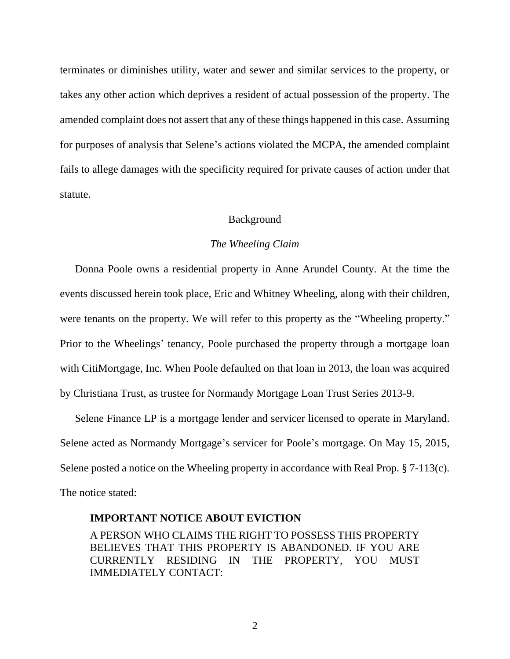terminates or diminishes utility, water and sewer and similar services to the property, or takes any other action which deprives a resident of actual possession of the property. The amended complaint does not assert that any of these things happened in this case. Assuming for purposes of analysis that Selene's actions violated the MCPA, the amended complaint fails to allege damages with the specificity required for private causes of action under that statute.

#### Background

#### *The Wheeling Claim*

Donna Poole owns a residential property in Anne Arundel County. At the time the events discussed herein took place, Eric and Whitney Wheeling, along with their children, were tenants on the property. We will refer to this property as the "Wheeling property." Prior to the Wheelings' tenancy, Poole purchased the property through a mortgage loan with CitiMortgage, Inc. When Poole defaulted on that loan in 2013, the loan was acquired by Christiana Trust, as trustee for Normandy Mortgage Loan Trust Series 2013-9.

Selene Finance LP is a mortgage lender and servicer licensed to operate in Maryland. Selene acted as Normandy Mortgage's servicer for Poole's mortgage. On May 15, 2015, Selene posted a notice on the Wheeling property in accordance with Real Prop. § 7-113(c). The notice stated:

#### **IMPORTANT NOTICE ABOUT EVICTION**

A PERSON WHO CLAIMS THE RIGHT TO POSSESS THIS PROPERTY BELIEVES THAT THIS PROPERTY IS ABANDONED. IF YOU ARE CURRENTLY RESIDING IN THE PROPERTY, YOU MUST IMMEDIATELY CONTACT: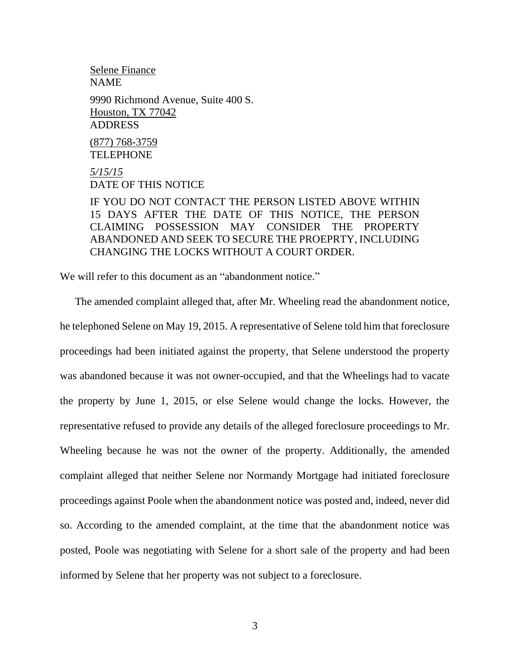## Selene Finance NAME 9990 Richmond Avenue, Suite 400 S. Houston, TX 77042 ADDRESS (877) 768-3759 TELEPHONE

*5/15/15* DATE OF THIS NOTICE

IF YOU DO NOT CONTACT THE PERSON LISTED ABOVE WITHIN 15 DAYS AFTER THE DATE OF THIS NOTICE, THE PERSON CLAIMING POSSESSION MAY CONSIDER THE PROPERTY ABANDONED AND SEEK TO SECURE THE PROEPRTY, INCLUDING CHANGING THE LOCKS WITHOUT A COURT ORDER.

We will refer to this document as an "abandonment notice."

The amended complaint alleged that, after Mr. Wheeling read the abandonment notice, he telephoned Selene on May 19, 2015. A representative of Selene told him that foreclosure proceedings had been initiated against the property, that Selene understood the property was abandoned because it was not owner-occupied, and that the Wheelings had to vacate the property by June 1, 2015, or else Selene would change the locks. However, the representative refused to provide any details of the alleged foreclosure proceedings to Mr. Wheeling because he was not the owner of the property. Additionally, the amended complaint alleged that neither Selene nor Normandy Mortgage had initiated foreclosure proceedings against Poole when the abandonment notice was posted and, indeed, never did so. According to the amended complaint, at the time that the abandonment notice was posted, Poole was negotiating with Selene for a short sale of the property and had been informed by Selene that her property was not subject to a foreclosure.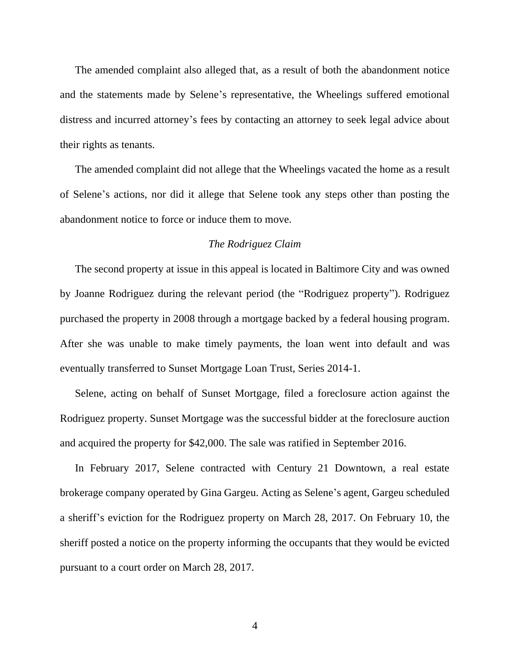The amended complaint also alleged that, as a result of both the abandonment notice and the statements made by Selene's representative, the Wheelings suffered emotional distress and incurred attorney's fees by contacting an attorney to seek legal advice about their rights as tenants.

The amended complaint did not allege that the Wheelings vacated the home as a result of Selene's actions, nor did it allege that Selene took any steps other than posting the abandonment notice to force or induce them to move.

#### *The Rodriguez Claim*

The second property at issue in this appeal is located in Baltimore City and was owned by Joanne Rodriguez during the relevant period (the "Rodriguez property"). Rodriguez purchased the property in 2008 through a mortgage backed by a federal housing program. After she was unable to make timely payments, the loan went into default and was eventually transferred to Sunset Mortgage Loan Trust, Series 2014-1.

Selene, acting on behalf of Sunset Mortgage, filed a foreclosure action against the Rodriguez property. Sunset Mortgage was the successful bidder at the foreclosure auction and acquired the property for \$42,000. The sale was ratified in September 2016.

In February 2017, Selene contracted with Century 21 Downtown, a real estate brokerage company operated by Gina Gargeu. Acting as Selene's agent, Gargeu scheduled a sheriff's eviction for the Rodriguez property on March 28, 2017. On February 10, the sheriff posted a notice on the property informing the occupants that they would be evicted pursuant to a court order on March 28, 2017.

4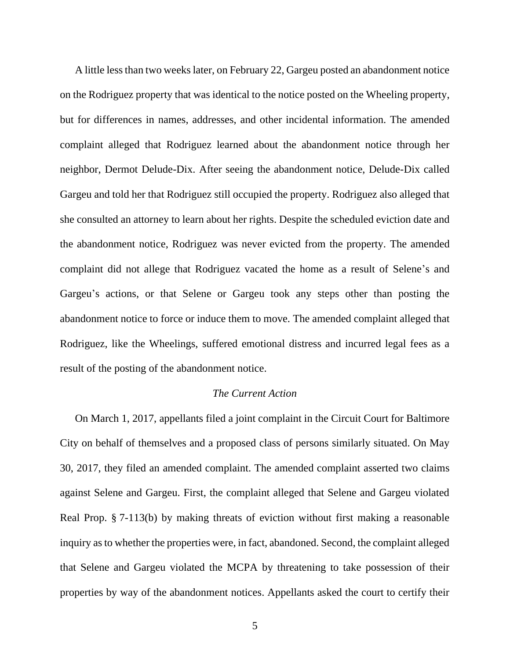A little less than two weeks later, on February 22, Gargeu posted an abandonment notice on the Rodriguez property that was identical to the notice posted on the Wheeling property, but for differences in names, addresses, and other incidental information. The amended complaint alleged that Rodriguez learned about the abandonment notice through her neighbor, Dermot Delude-Dix. After seeing the abandonment notice, Delude-Dix called Gargeu and told her that Rodriguez still occupied the property. Rodriguez also alleged that she consulted an attorney to learn about her rights. Despite the scheduled eviction date and the abandonment notice, Rodriguez was never evicted from the property. The amended complaint did not allege that Rodriguez vacated the home as a result of Selene's and Gargeu's actions, or that Selene or Gargeu took any steps other than posting the abandonment notice to force or induce them to move. The amended complaint alleged that Rodriguez, like the Wheelings, suffered emotional distress and incurred legal fees as a result of the posting of the abandonment notice.

#### *The Current Action*

On March 1, 2017, appellants filed a joint complaint in the Circuit Court for Baltimore City on behalf of themselves and a proposed class of persons similarly situated. On May 30, 2017, they filed an amended complaint. The amended complaint asserted two claims against Selene and Gargeu. First, the complaint alleged that Selene and Gargeu violated Real Prop. § 7-113(b) by making threats of eviction without first making a reasonable inquiry as to whether the properties were, in fact, abandoned. Second, the complaint alleged that Selene and Gargeu violated the MCPA by threatening to take possession of their properties by way of the abandonment notices. Appellants asked the court to certify their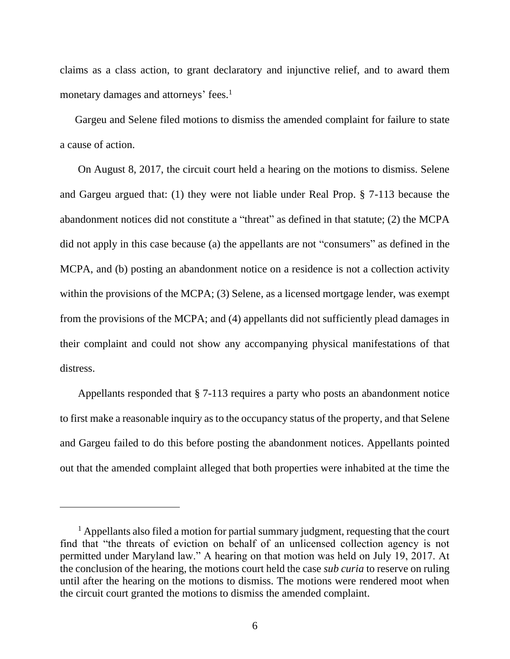claims as a class action, to grant declaratory and injunctive relief, and to award them monetary damages and attorneys' fees.<sup>1</sup>

Gargeu and Selene filed motions to dismiss the amended complaint for failure to state a cause of action.

On August 8, 2017, the circuit court held a hearing on the motions to dismiss. Selene and Gargeu argued that: (1) they were not liable under Real Prop. § 7-113 because the abandonment notices did not constitute a "threat" as defined in that statute; (2) the MCPA did not apply in this case because (a) the appellants are not "consumers" as defined in the MCPA, and (b) posting an abandonment notice on a residence is not a collection activity within the provisions of the MCPA; (3) Selene, as a licensed mortgage lender, was exempt from the provisions of the MCPA; and (4) appellants did not sufficiently plead damages in their complaint and could not show any accompanying physical manifestations of that distress.

Appellants responded that § 7-113 requires a party who posts an abandonment notice to first make a reasonable inquiry as to the occupancy status of the property, and that Selene and Gargeu failed to do this before posting the abandonment notices. Appellants pointed out that the amended complaint alleged that both properties were inhabited at the time the

 $<sup>1</sup>$  Appellants also filed a motion for partial summary judgment, requesting that the court</sup> find that "the threats of eviction on behalf of an unlicensed collection agency is not permitted under Maryland law." A hearing on that motion was held on July 19, 2017. At the conclusion of the hearing, the motions court held the case *sub curia* to reserve on ruling until after the hearing on the motions to dismiss. The motions were rendered moot when the circuit court granted the motions to dismiss the amended complaint.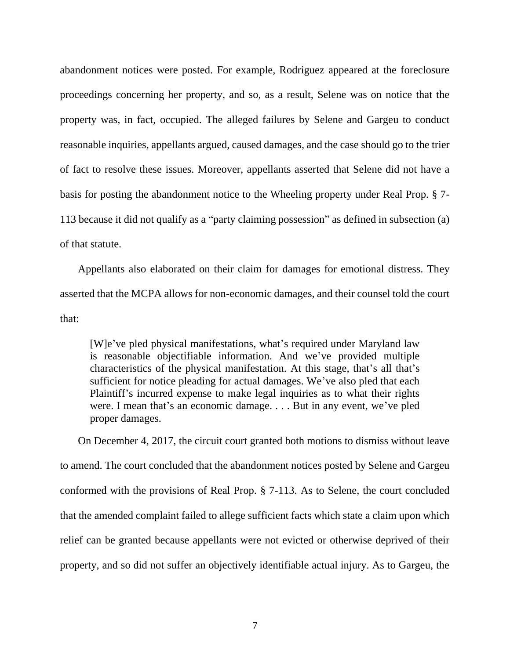abandonment notices were posted. For example, Rodriguez appeared at the foreclosure proceedings concerning her property, and so, as a result, Selene was on notice that the property was, in fact, occupied. The alleged failures by Selene and Gargeu to conduct reasonable inquiries, appellants argued, caused damages, and the case should go to the trier of fact to resolve these issues. Moreover, appellants asserted that Selene did not have a basis for posting the abandonment notice to the Wheeling property under Real Prop. § 7- 113 because it did not qualify as a "party claiming possession" as defined in subsection (a) of that statute.

Appellants also elaborated on their claim for damages for emotional distress. They asserted that the MCPA allows for non-economic damages, and their counsel told the court that:

[W]e've pled physical manifestations, what's required under Maryland law is reasonable objectifiable information. And we've provided multiple characteristics of the physical manifestation. At this stage, that's all that's sufficient for notice pleading for actual damages. We've also pled that each Plaintiff's incurred expense to make legal inquiries as to what their rights were. I mean that's an economic damage. . . . But in any event, we've pled proper damages.

On December 4, 2017, the circuit court granted both motions to dismiss without leave to amend. The court concluded that the abandonment notices posted by Selene and Gargeu conformed with the provisions of Real Prop. § 7-113. As to Selene, the court concluded that the amended complaint failed to allege sufficient facts which state a claim upon which relief can be granted because appellants were not evicted or otherwise deprived of their property, and so did not suffer an objectively identifiable actual injury. As to Gargeu, the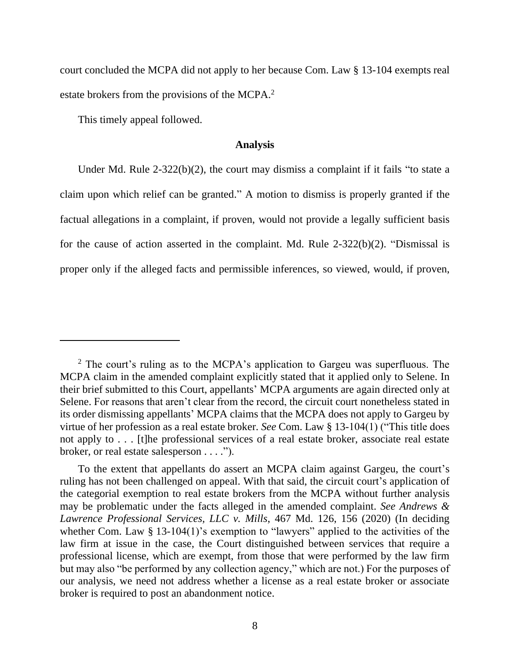court concluded the MCPA did not apply to her because Com. Law § 13-104 exempts real estate brokers from the provisions of the MCPA.<sup>2</sup>

This timely appeal followed.

#### **Analysis**

Under Md. Rule 2-322(b)(2), the court may dismiss a complaint if it fails "to state a claim upon which relief can be granted." A motion to dismiss is properly granted if the factual allegations in a complaint, if proven, would not provide a legally sufficient basis for the cause of action asserted in the complaint. Md. Rule 2-322(b)(2). "Dismissal is proper only if the alleged facts and permissible inferences, so viewed, would, if proven,

<sup>&</sup>lt;sup>2</sup> The court's ruling as to the MCPA's application to Gargeu was superfluous. The MCPA claim in the amended complaint explicitly stated that it applied only to Selene. In their brief submitted to this Court, appellants' MCPA arguments are again directed only at Selene. For reasons that aren't clear from the record, the circuit court nonetheless stated in its order dismissing appellants' MCPA claims that the MCPA does not apply to Gargeu by virtue of her profession as a real estate broker. *See* Com. Law § 13-104(1) ("This title does not apply to . . . [t]he professional services of a real estate broker, associate real estate broker, or real estate salesperson . . . .").

To the extent that appellants do assert an MCPA claim against Gargeu, the court's ruling has not been challenged on appeal. With that said, the circuit court's application of the categorial exemption to real estate brokers from the MCPA without further analysis may be problematic under the facts alleged in the amended complaint. *See Andrews & Lawrence Professional Services, LLC v. Mills*, 467 Md. 126, 156 (2020) (In deciding whether Com. Law § 13-104(1)'s exemption to "lawyers" applied to the activities of the law firm at issue in the case, the Court distinguished between services that require a professional license, which are exempt, from those that were performed by the law firm but may also "be performed by any collection agency," which are not.) For the purposes of our analysis, we need not address whether a license as a real estate broker or associate broker is required to post an abandonment notice.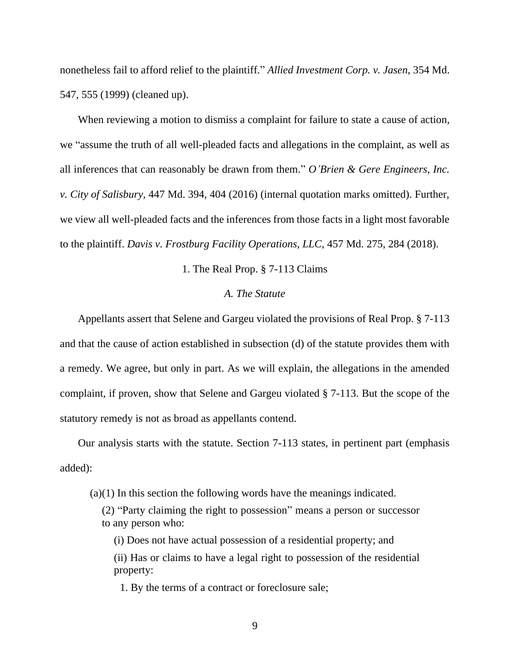nonetheless fail to afford relief to the plaintiff." *Allied Investment Corp. v. Jasen*, 354 Md. 547, 555 (1999) (cleaned up).

When reviewing a motion to dismiss a complaint for failure to state a cause of action, we "assume the truth of all well-pleaded facts and allegations in the complaint, as well as all inferences that can reasonably be drawn from them." *O'Brien & Gere Engineers, Inc. v. City of Salisbury*, 447 Md. 394, 404 (2016) (internal quotation marks omitted). Further, we view all well-pleaded facts and the inferences from those facts in a light most favorable to the plaintiff. *Davis v. Frostburg Facility Operations, LLC*, 457 Md. 275, 284 (2018).

#### 1. The Real Prop. § 7-113 Claims

## *A. The Statute*

Appellants assert that Selene and Gargeu violated the provisions of Real Prop. § 7-113 and that the cause of action established in subsection (d) of the statute provides them with a remedy. We agree, but only in part. As we will explain, the allegations in the amended complaint, if proven, show that Selene and Gargeu violated § 7-113. But the scope of the statutory remedy is not as broad as appellants contend.

Our analysis starts with the statute. Section 7-113 states, in pertinent part (emphasis added):

(a)(1) In this section the following words have the meanings indicated.

(2) "Party claiming the right to possession" means a person or successor to any person who:

(i) Does not have actual possession of a residential property; and

(ii) Has or claims to have a legal right to possession of the residential property:

1. By the terms of a contract or foreclosure sale;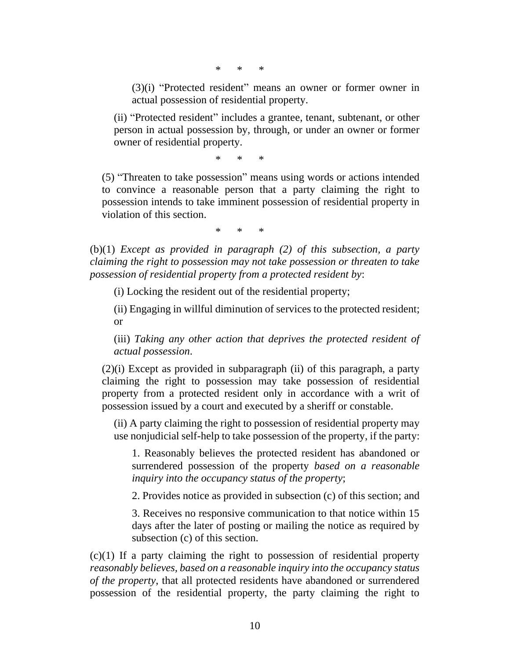\* \* \*

(3)(i) "Protected resident" means an owner or former owner in actual possession of residential property.

(ii) "Protected resident" includes a grantee, tenant, subtenant, or other person in actual possession by, through, or under an owner or former owner of residential property.

\* \* \*

(5) "Threaten to take possession" means using words or actions intended to convince a reasonable person that a party claiming the right to possession intends to take imminent possession of residential property in violation of this section.

\* \* \*

(b)(1) *Except as provided in paragraph (2) of this subsection, a party claiming the right to possession may not take possession or threaten to take possession of residential property from a protected resident by*:

(i) Locking the resident out of the residential property;

(ii) Engaging in willful diminution of services to the protected resident; or

(iii) *Taking any other action that deprives the protected resident of actual possession*.

(2)(i) Except as provided in subparagraph (ii) of this paragraph, a party claiming the right to possession may take possession of residential property from a protected resident only in accordance with a writ of possession issued by a court and executed by a sheriff or constable.

(ii) A party claiming the right to possession of residential property may use nonjudicial self-help to take possession of the property, if the party:

1. Reasonably believes the protected resident has abandoned or surrendered possession of the property *based on a reasonable inquiry into the occupancy status of the property*;

2. Provides notice as provided in subsection (c) of this section; and

3. Receives no responsive communication to that notice within 15 days after the later of posting or mailing the notice as required by subsection (c) of this section.

(c)(1) If a party claiming the right to possession of residential property *reasonably believes, based on a reasonable inquiry into the occupancy status of the property*, that all protected residents have abandoned or surrendered possession of the residential property, the party claiming the right to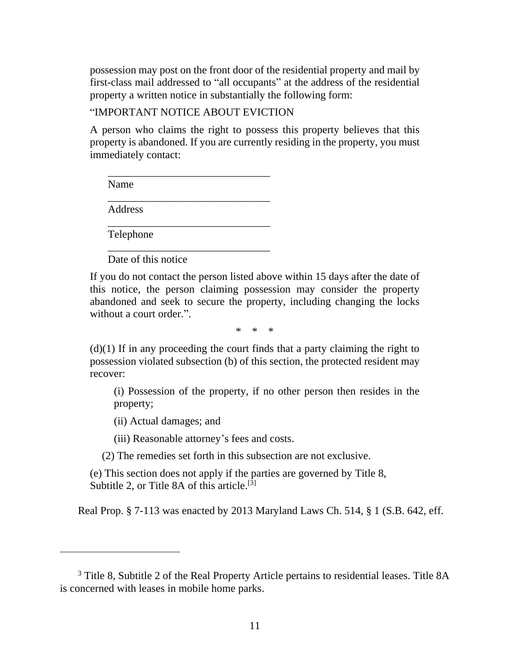possession may post on the front door of the residential property and mail by first-class mail addressed to "all occupants" at the address of the residential property a written notice in substantially the following form:

#### "IMPORTANT NOTICE ABOUT EVICTION

\_\_\_\_\_\_\_\_\_\_\_\_\_\_\_\_\_\_\_\_\_\_\_\_\_\_\_\_\_\_

\_\_\_\_\_\_\_\_\_\_\_\_\_\_\_\_\_\_\_\_\_\_\_\_\_\_\_\_\_\_

\_\_\_\_\_\_\_\_\_\_\_\_\_\_\_\_\_\_\_\_\_\_\_\_\_\_\_\_\_\_

\_\_\_\_\_\_\_\_\_\_\_\_\_\_\_\_\_\_\_\_\_\_\_\_\_\_\_\_\_\_

A person who claims the right to possess this property believes that this property is abandoned. If you are currently residing in the property, you must immediately contact:

Name

Address

Telephone

Date of this notice

If you do not contact the person listed above within 15 days after the date of this notice, the person claiming possession may consider the property abandoned and seek to secure the property, including changing the locks without a court order.".

\* \* \*

 $(d)(1)$  If in any proceeding the court finds that a party claiming the right to possession violated subsection (b) of this section, the protected resident may recover:

(i) Possession of the property, if no other person then resides in the property;

(ii) Actual damages; and

(iii) Reasonable attorney's fees and costs.

(2) The remedies set forth in this subsection are not exclusive.

(e) This section does not apply if the parties are governed by Title 8, Subtitle 2, or Title 8A of this article.<sup>[3]</sup>

Real Prop. § 7-113 was enacted by 2013 Maryland Laws Ch. 514, § 1 (S.B. 642, eff.

<sup>&</sup>lt;sup>3</sup> Title 8, Subtitle 2 of the Real Property Article pertains to residential leases. Title 8A is concerned with leases in mobile home parks.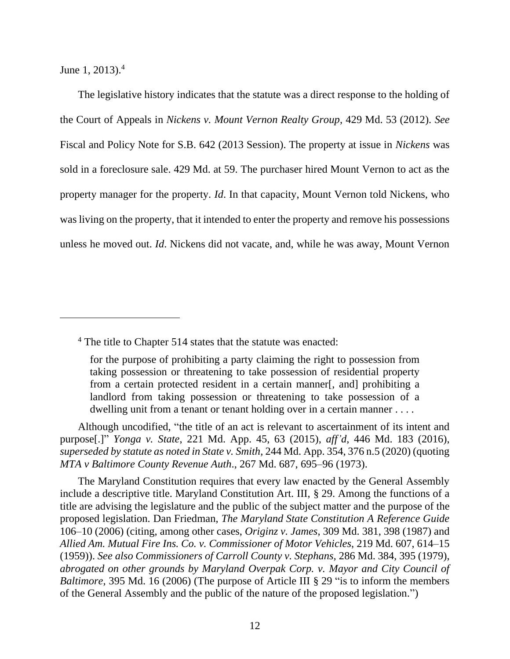June 1, 2013). $4$ 

The legislative history indicates that the statute was a direct response to the holding of the Court of Appeals in *Nickens v. Mount Vernon Realty Group*, 429 Md. 53 (2012). *See*  Fiscal and Policy Note for S.B. 642 (2013 Session). The property at issue in *Nickens* was sold in a foreclosure sale. 429 Md. at 59. The purchaser hired Mount Vernon to act as the property manager for the property. *Id*. In that capacity, Mount Vernon told Nickens, who was living on the property, that it intended to enter the property and remove his possessions unless he moved out. *Id*. Nickens did not vacate, and, while he was away, Mount Vernon

Although uncodified, "the title of an act is relevant to ascertainment of its intent and purpose[.]" *Yonga v. State*, 221 Md. App. 45, 63 (2015), *aff'd*, 446 Md. 183 (2016), *superseded by statute as noted in State v. Smith,* 244 Md. App. 354, 376 n.5 (2020) (quoting *MTA v Baltimore County Revenue Auth*., 267 Md. 687, 695–96 (1973).

The Maryland Constitution requires that every law enacted by the General Assembly include a descriptive title. Maryland Constitution Art. III, § 29. Among the functions of a title are advising the legislature and the public of the subject matter and the purpose of the proposed legislation. Dan Friedman, *The Maryland State Constitution A Reference Guide* 106–10 (2006) (citing, among other cases, *Originz v. James*, 309 Md. 381, 398 (1987) and *Allied Am. Mutual Fire Ins. Co. v. Commissioner of Motor Vehicles*, 219 Md. 607, 614–15 (1959)). *See also Commissioners of Carroll County v. Stephans,* 286 Md. 384, 395 (1979), *abrogated on other grounds by Maryland Overpak Corp. v. Mayor and City Council of Baltimore*, 395 Md. 16 (2006) (The purpose of Article III § 29 "is to inform the members of the General Assembly and the public of the nature of the proposed legislation.")

<sup>&</sup>lt;sup>4</sup> The title to Chapter 514 states that the statute was enacted:

for the purpose of prohibiting a party claiming the right to possession from taking possession or threatening to take possession of residential property from a certain protected resident in a certain manner[, and] prohibiting a landlord from taking possession or threatening to take possession of a dwelling unit from a tenant or tenant holding over in a certain manner ....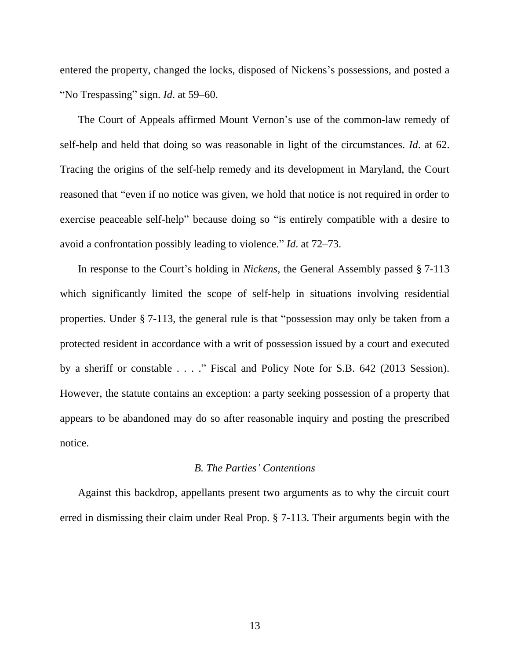entered the property, changed the locks, disposed of Nickens's possessions, and posted a "No Trespassing" sign. *Id*. at 59–60.

The Court of Appeals affirmed Mount Vernon's use of the common-law remedy of self-help and held that doing so was reasonable in light of the circumstances. *Id*. at 62. Tracing the origins of the self-help remedy and its development in Maryland, the Court reasoned that "even if no notice was given, we hold that notice is not required in order to exercise peaceable self-help" because doing so "is entirely compatible with a desire to avoid a confrontation possibly leading to violence." *Id*. at 72–73.

In response to the Court's holding in *Nickens*, the General Assembly passed § 7-113 which significantly limited the scope of self-help in situations involving residential properties. Under § 7-113, the general rule is that "possession may only be taken from a protected resident in accordance with a writ of possession issued by a court and executed by a sheriff or constable . . . ." Fiscal and Policy Note for S.B. 642 (2013 Session). However, the statute contains an exception: a party seeking possession of a property that appears to be abandoned may do so after reasonable inquiry and posting the prescribed notice.

#### *B. The Parties' Contentions*

Against this backdrop, appellants present two arguments as to why the circuit court erred in dismissing their claim under Real Prop. § 7-113. Their arguments begin with the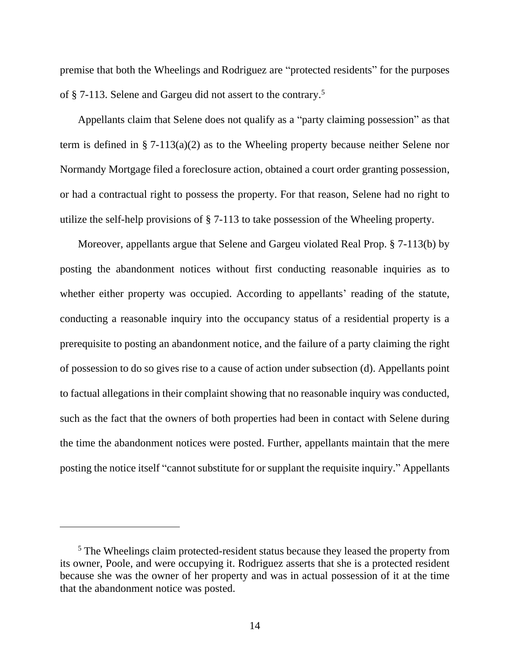premise that both the Wheelings and Rodriguez are "protected residents" for the purposes of § 7-113. Selene and Gargeu did not assert to the contrary.<sup>5</sup>

Appellants claim that Selene does not qualify as a "party claiming possession" as that term is defined in § 7-113(a)(2) as to the Wheeling property because neither Selene nor Normandy Mortgage filed a foreclosure action, obtained a court order granting possession, or had a contractual right to possess the property. For that reason, Selene had no right to utilize the self-help provisions of § 7-113 to take possession of the Wheeling property.

Moreover, appellants argue that Selene and Gargeu violated Real Prop. § 7-113(b) by posting the abandonment notices without first conducting reasonable inquiries as to whether either property was occupied. According to appellants' reading of the statute, conducting a reasonable inquiry into the occupancy status of a residential property is a prerequisite to posting an abandonment notice, and the failure of a party claiming the right of possession to do so gives rise to a cause of action under subsection (d). Appellants point to factual allegations in their complaint showing that no reasonable inquiry was conducted, such as the fact that the owners of both properties had been in contact with Selene during the time the abandonment notices were posted. Further, appellants maintain that the mere posting the notice itself "cannot substitute for or supplant the requisite inquiry." Appellants

<sup>&</sup>lt;sup>5</sup> The Wheelings claim protected-resident status because they leased the property from its owner, Poole, and were occupying it. Rodriguez asserts that she is a protected resident because she was the owner of her property and was in actual possession of it at the time that the abandonment notice was posted.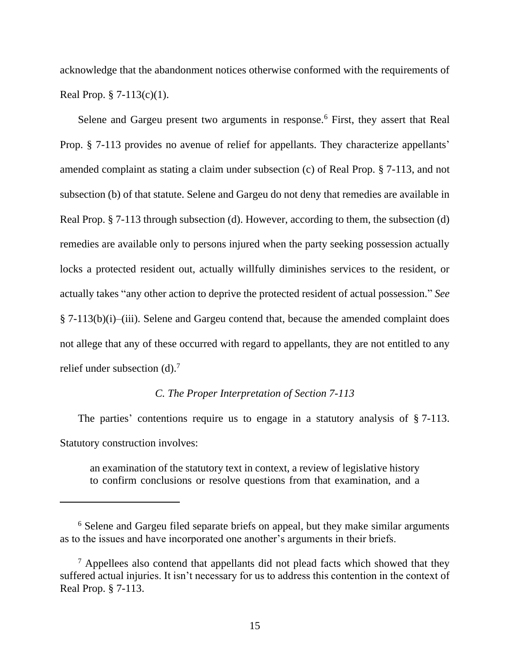acknowledge that the abandonment notices otherwise conformed with the requirements of Real Prop.  $\S 7-113(c)(1)$ .

Selene and Gargeu present two arguments in response.<sup>6</sup> First, they assert that Real Prop. § 7-113 provides no avenue of relief for appellants. They characterize appellants' amended complaint as stating a claim under subsection (c) of Real Prop. § 7-113, and not subsection (b) of that statute. Selene and Gargeu do not deny that remedies are available in Real Prop. § 7-113 through subsection (d). However, according to them, the subsection (d) remedies are available only to persons injured when the party seeking possession actually locks a protected resident out, actually willfully diminishes services to the resident, or actually takes "any other action to deprive the protected resident of actual possession." *See*  § 7-113(b)(i)–(iii). Selene and Gargeu contend that, because the amended complaint does not allege that any of these occurred with regard to appellants, they are not entitled to any relief under subsection  $(d)$ .<sup>7</sup>

#### *C. The Proper Interpretation of Section 7-113*

The parties' contentions require us to engage in a statutory analysis of § 7-113. Statutory construction involves:

an examination of the statutory text in context, a review of legislative history to confirm conclusions or resolve questions from that examination, and a

<sup>&</sup>lt;sup>6</sup> Selene and Gargeu filed separate briefs on appeal, but they make similar arguments as to the issues and have incorporated one another's arguments in their briefs.

 $<sup>7</sup>$  Appellees also contend that appellants did not plead facts which showed that they</sup> suffered actual injuries. It isn't necessary for us to address this contention in the context of Real Prop. § 7-113.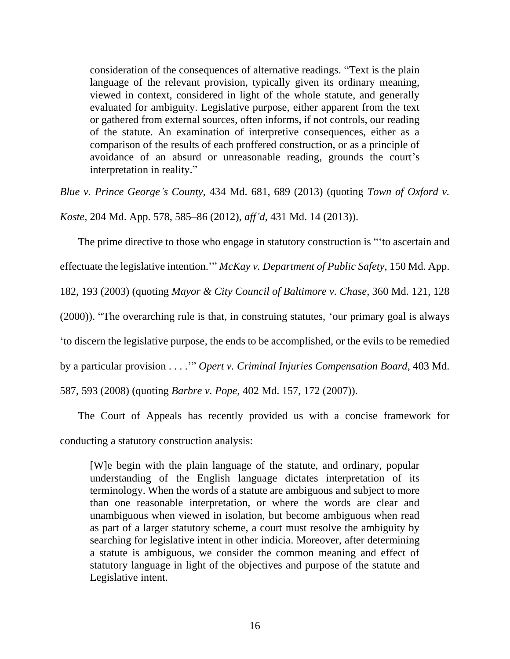consideration of the consequences of alternative readings. "Text is the plain language of the relevant provision, typically given its ordinary meaning, viewed in context, considered in light of the whole statute, and generally evaluated for ambiguity. Legislative purpose, either apparent from the text or gathered from external sources, often informs, if not controls, our reading of the statute. An examination of interpretive consequences, either as a comparison of the results of each proffered construction, or as a principle of avoidance of an absurd or unreasonable reading, grounds the court's interpretation in reality."

*Blue v. Prince George's County*, 434 Md. 681, 689 (2013) (quoting *Town of Oxford v.* 

*Koste*, 204 Md. App. 578, 585–86 (2012), *aff'd*, 431 Md. 14 (2013)).

The prime directive to those who engage in statutory construction is "'to ascertain and

effectuate the legislative intention.'" *McKay v. Department of Public Safety*, 150 Md. App.

182, 193 (2003) (quoting *Mayor & City Council of Baltimore v. Chase*, 360 Md. 121, 128

(2000)). "The overarching rule is that, in construing statutes, 'our primary goal is always

'to discern the legislative purpose, the ends to be accomplished, or the evils to be remedied

by a particular provision . . . .'" *Opert v. Criminal Injuries Compensation Board*, 403 Md.

587, 593 (2008) (quoting *Barbre v. Pope*, 402 Md. 157, 172 (2007)).

The Court of Appeals has recently provided us with a concise framework for conducting a statutory construction analysis:

[W]e begin with the plain language of the statute, and ordinary, popular understanding of the English language dictates interpretation of its terminology. When the words of a statute are ambiguous and subject to more than one reasonable interpretation, or where the words are clear and unambiguous when viewed in isolation, but become ambiguous when read as part of a larger statutory scheme, a court must resolve the ambiguity by searching for legislative intent in other indicia. Moreover, after determining a statute is ambiguous, we consider the common meaning and effect of statutory language in light of the objectives and purpose of the statute and Legislative intent.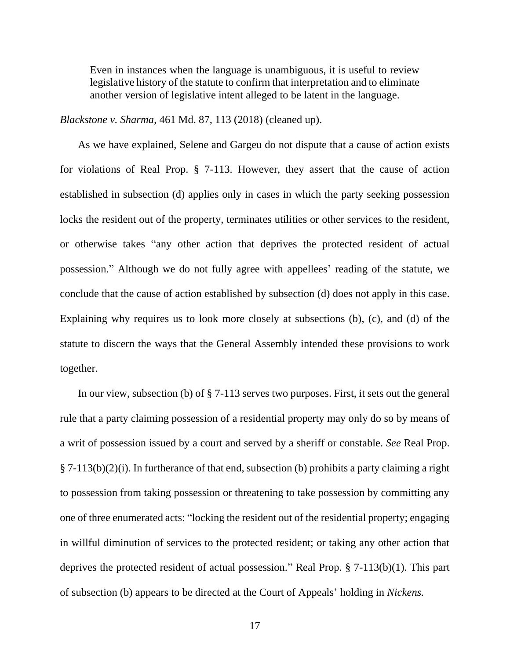Even in instances when the language is unambiguous, it is useful to review legislative history of the statute to confirm that interpretation and to eliminate another version of legislative intent alleged to be latent in the language.

*Blackstone v. Sharma*, 461 Md. 87, 113 (2018) (cleaned up).

As we have explained, Selene and Gargeu do not dispute that a cause of action exists for violations of Real Prop. § 7-113. However, they assert that the cause of action established in subsection (d) applies only in cases in which the party seeking possession locks the resident out of the property, terminates utilities or other services to the resident, or otherwise takes "any other action that deprives the protected resident of actual possession." Although we do not fully agree with appellees' reading of the statute, we conclude that the cause of action established by subsection (d) does not apply in this case. Explaining why requires us to look more closely at subsections (b), (c), and (d) of the statute to discern the ways that the General Assembly intended these provisions to work together.

In our view, subsection (b) of § 7-113 serves two purposes. First, it sets out the general rule that a party claiming possession of a residential property may only do so by means of a writ of possession issued by a court and served by a sheriff or constable. *See* Real Prop.  $\S 7-113(b)(2)(i)$ . In furtherance of that end, subsection (b) prohibits a party claiming a right to possession from taking possession or threatening to take possession by committing any one of three enumerated acts: "locking the resident out of the residential property; engaging in willful diminution of services to the protected resident; or taking any other action that deprives the protected resident of actual possession." Real Prop. § 7-113(b)(1). This part of subsection (b) appears to be directed at the Court of Appeals' holding in *Nickens.*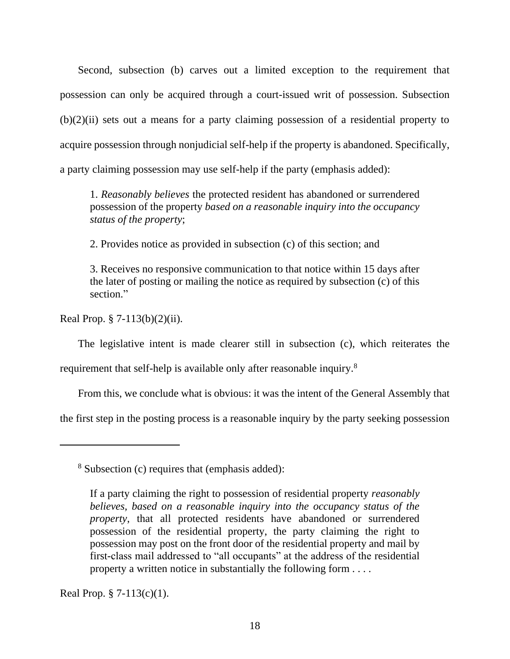Second*,* subsection (b) carves out a limited exception to the requirement that possession can only be acquired through a court-issued writ of possession. Subsection  $(b)(2)(ii)$  sets out a means for a party claiming possession of a residential property to acquire possession through nonjudicial self-help if the property is abandoned. Specifically, a party claiming possession may use self-help if the party (emphasis added):

1. *Reasonably believes* the protected resident has abandoned or surrendered possession of the property *based on a reasonable inquiry into the occupancy status of the property*;

2. Provides notice as provided in subsection (c) of this section; and

3. Receives no responsive communication to that notice within 15 days after the later of posting or mailing the notice as required by subsection (c) of this section."

Real Prop. § 7-113(b)(2)(ii).

The legislative intent is made clearer still in subsection (c), which reiterates the

requirement that self-help is available only after reasonable inquiry.<sup>8</sup>

From this, we conclude what is obvious: it was the intent of the General Assembly that

the first step in the posting process is a reasonable inquiry by the party seeking possession

<sup>8</sup> Subsection (c) requires that (emphasis added):

Real Prop.  $\S 7-113(c)(1)$ .

If a party claiming the right to possession of residential property *reasonably believes, based on a reasonable inquiry into the occupancy status of the property*, that all protected residents have abandoned or surrendered possession of the residential property, the party claiming the right to possession may post on the front door of the residential property and mail by first-class mail addressed to "all occupants" at the address of the residential property a written notice in substantially the following form . . . .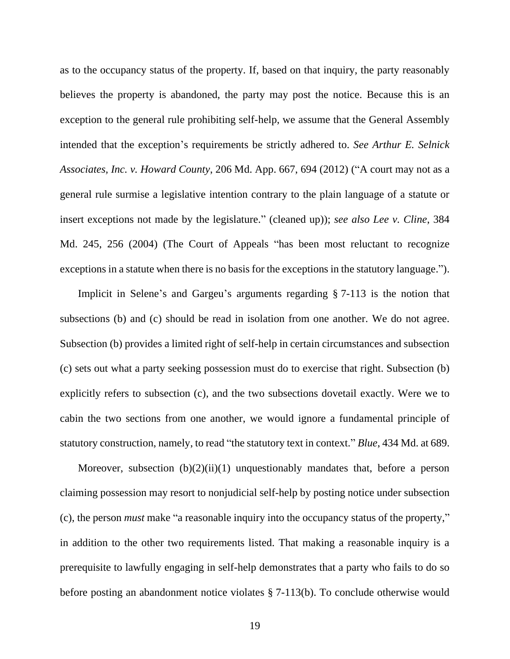as to the occupancy status of the property. If, based on that inquiry, the party reasonably believes the property is abandoned, the party may post the notice. Because this is an exception to the general rule prohibiting self-help, we assume that the General Assembly intended that the exception's requirements be strictly adhered to. *See Arthur E. Selnick Associates, Inc. v. Howard County*, 206 Md. App. 667, 694 (2012) ("A court may not as a general rule surmise a legislative intention contrary to the plain language of a statute or insert exceptions not made by the legislature." (cleaned up)); *see also Lee v. Cline*, 384 Md. 245, 256 (2004) (The Court of Appeals "has been most reluctant to recognize exceptions in a statute when there is no basis for the exceptions in the statutory language.").

Implicit in Selene's and Gargeu's arguments regarding § 7-113 is the notion that subsections (b) and (c) should be read in isolation from one another. We do not agree. Subsection (b) provides a limited right of self-help in certain circumstances and subsection (c) sets out what a party seeking possession must do to exercise that right. Subsection (b) explicitly refers to subsection (c), and the two subsections dovetail exactly. Were we to cabin the two sections from one another, we would ignore a fundamental principle of statutory construction, namely, to read "the statutory text in context." *Blue*, 434 Md. at 689.

Moreover, subsection  $(b)(2)(ii)(1)$  unquestionably mandates that, before a person claiming possession may resort to nonjudicial self-help by posting notice under subsection (c), the person *must* make "a reasonable inquiry into the occupancy status of the property," in addition to the other two requirements listed. That making a reasonable inquiry is a prerequisite to lawfully engaging in self-help demonstrates that a party who fails to do so before posting an abandonment notice violates § 7-113(b). To conclude otherwise would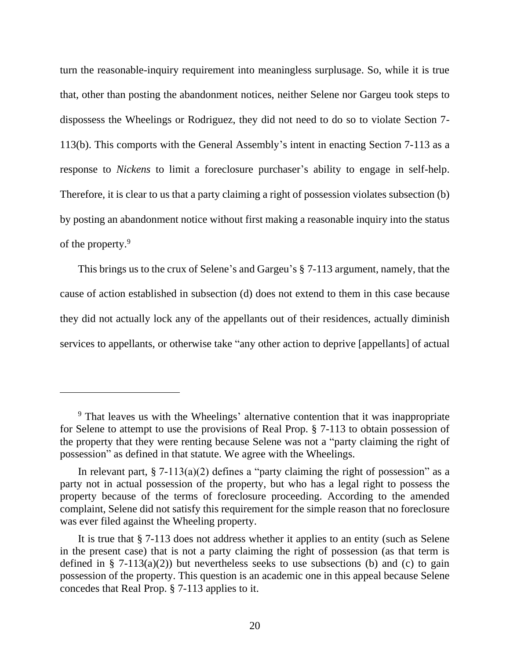turn the reasonable-inquiry requirement into meaningless surplusage. So, while it is true that, other than posting the abandonment notices, neither Selene nor Gargeu took steps to dispossess the Wheelings or Rodriguez, they did not need to do so to violate Section 7- 113(b). This comports with the General Assembly's intent in enacting Section 7-113 as a response to *Nickens* to limit a foreclosure purchaser's ability to engage in self-help. Therefore, it is clear to us that a party claiming a right of possession violates subsection (b) by posting an abandonment notice without first making a reasonable inquiry into the status of the property.<sup>9</sup>

This brings us to the crux of Selene's and Gargeu's § 7-113 argument, namely, that the cause of action established in subsection (d) does not extend to them in this case because they did not actually lock any of the appellants out of their residences, actually diminish services to appellants, or otherwise take "any other action to deprive [appellants] of actual

<sup>&</sup>lt;sup>9</sup> That leaves us with the Wheelings' alternative contention that it was inappropriate for Selene to attempt to use the provisions of Real Prop. § 7-113 to obtain possession of the property that they were renting because Selene was not a "party claiming the right of possession" as defined in that statute. We agree with the Wheelings.

In relevant part,  $\S 7-113(a)(2)$  defines a "party claiming the right of possession" as a party not in actual possession of the property, but who has a legal right to possess the property because of the terms of foreclosure proceeding. According to the amended complaint, Selene did not satisfy this requirement for the simple reason that no foreclosure was ever filed against the Wheeling property.

It is true that § 7-113 does not address whether it applies to an entity (such as Selene in the present case) that is not a party claiming the right of possession (as that term is defined in § 7-113(a)(2)) but nevertheless seeks to use subsections (b) and (c) to gain possession of the property. This question is an academic one in this appeal because Selene concedes that Real Prop. § 7-113 applies to it.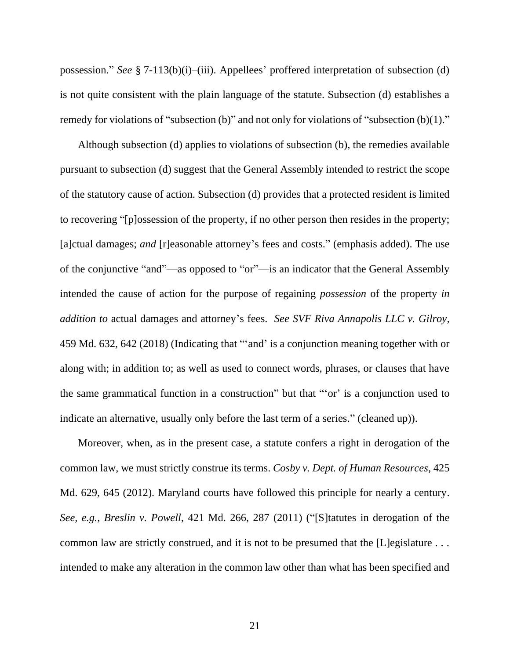possession." *See* § 7-113(b)(i)–(iii). Appellees' proffered interpretation of subsection (d) is not quite consistent with the plain language of the statute. Subsection (d) establishes a remedy for violations of "subsection (b)" and not only for violations of "subsection (b)(1)."

Although subsection (d) applies to violations of subsection (b), the remedies available pursuant to subsection (d) suggest that the General Assembly intended to restrict the scope of the statutory cause of action. Subsection (d) provides that a protected resident is limited to recovering "[p]ossession of the property, if no other person then resides in the property; [a]ctual damages; *and* [r]easonable attorney's fees and costs." (emphasis added). The use of the conjunctive "and"—as opposed to "or"—is an indicator that the General Assembly intended the cause of action for the purpose of regaining *possession* of the property *in addition to* actual damages and attorney's fees. *See SVF Riva Annapolis LLC v. Gilroy*, 459 Md. 632, 642 (2018) (Indicating that "'and' is a conjunction meaning together with or along with; in addition to; as well as used to connect words, phrases, or clauses that have the same grammatical function in a construction" but that "'or' is a conjunction used to indicate an alternative, usually only before the last term of a series." (cleaned up)).

Moreover, when, as in the present case, a statute confers a right in derogation of the common law, we must strictly construe its terms. *Cosby v. Dept. of Human Resources*, 425 Md. 629, 645 (2012). Maryland courts have followed this principle for nearly a century. *See, e.g.*, *Breslin v. Powell*, 421 Md. 266, 287 (2011) ("[S]tatutes in derogation of the common law are strictly construed, and it is not to be presumed that the [L]egislature . . . intended to make any alteration in the common law other than what has been specified and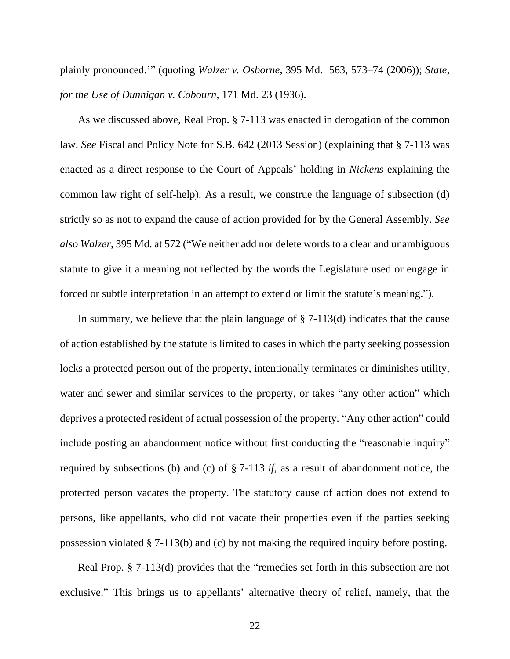plainly pronounced.'" (quoting *Walzer v. Osborne*, 395 Md. 563, 573–74 (2006)); *State, for the Use of Dunnigan v. Cobourn*, 171 Md. 23 (1936).

As we discussed above, Real Prop. § 7-113 was enacted in derogation of the common law. *See* Fiscal and Policy Note for S.B. 642 (2013 Session) (explaining that § 7-113 was enacted as a direct response to the Court of Appeals' holding in *Nickens* explaining the common law right of self-help). As a result, we construe the language of subsection (d) strictly so as not to expand the cause of action provided for by the General Assembly. *See also Walzer*, 395 Md. at 572 ("We neither add nor delete words to a clear and unambiguous statute to give it a meaning not reflected by the words the Legislature used or engage in forced or subtle interpretation in an attempt to extend or limit the statute's meaning.").

In summary, we believe that the plain language of  $\S$  7-113(d) indicates that the cause of action established by the statute is limited to cases in which the party seeking possession locks a protected person out of the property, intentionally terminates or diminishes utility, water and sewer and similar services to the property, or takes "any other action" which deprives a protected resident of actual possession of the property. "Any other action" could include posting an abandonment notice without first conducting the "reasonable inquiry" required by subsections (b) and (c) of § 7-113 *if*, as a result of abandonment notice, the protected person vacates the property. The statutory cause of action does not extend to persons, like appellants, who did not vacate their properties even if the parties seeking possession violated § 7-113(b) and (c) by not making the required inquiry before posting.

Real Prop. § 7-113(d) provides that the "remedies set forth in this subsection are not exclusive." This brings us to appellants' alternative theory of relief, namely, that the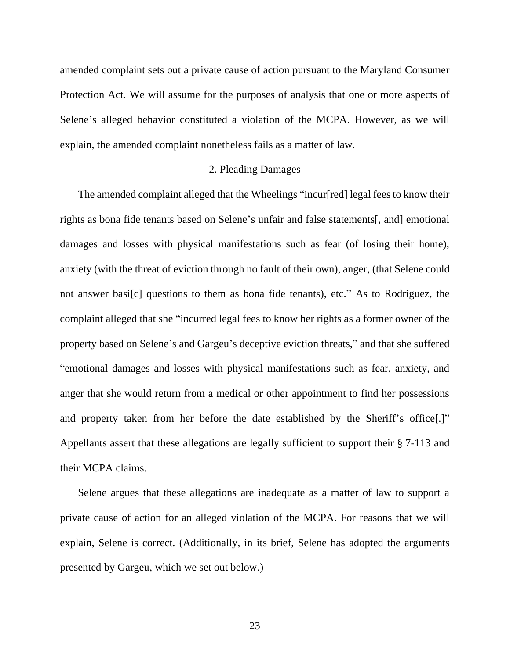amended complaint sets out a private cause of action pursuant to the Maryland Consumer Protection Act. We will assume for the purposes of analysis that one or more aspects of Selene's alleged behavior constituted a violation of the MCPA. However, as we will explain, the amended complaint nonetheless fails as a matter of law.

#### 2. Pleading Damages

The amended complaint alleged that the Wheelings "incur[red] legal fees to know their rights as bona fide tenants based on Selene's unfair and false statements[, and] emotional damages and losses with physical manifestations such as fear (of losing their home), anxiety (with the threat of eviction through no fault of their own), anger, (that Selene could not answer basi[c] questions to them as bona fide tenants), etc." As to Rodriguez, the complaint alleged that she "incurred legal fees to know her rights as a former owner of the property based on Selene's and Gargeu's deceptive eviction threats," and that she suffered "emotional damages and losses with physical manifestations such as fear, anxiety, and anger that she would return from a medical or other appointment to find her possessions and property taken from her before the date established by the Sheriff's office[.]" Appellants assert that these allegations are legally sufficient to support their § 7-113 and their MCPA claims.

Selene argues that these allegations are inadequate as a matter of law to support a private cause of action for an alleged violation of the MCPA. For reasons that we will explain, Selene is correct. (Additionally, in its brief, Selene has adopted the arguments presented by Gargeu, which we set out below.)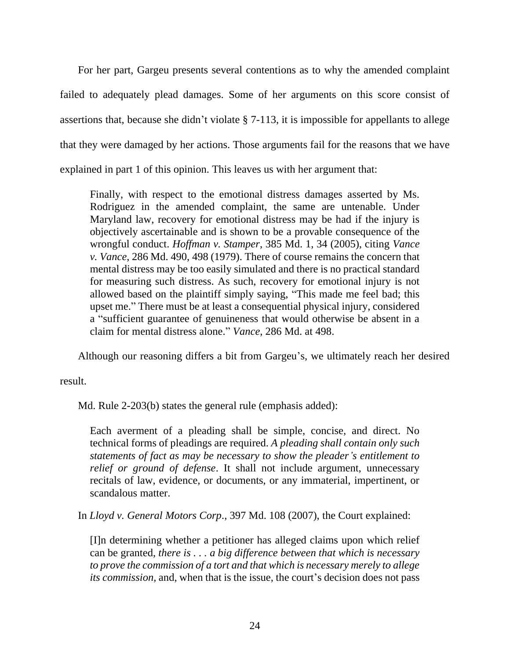For her part, Gargeu presents several contentions as to why the amended complaint failed to adequately plead damages. Some of her arguments on this score consist of assertions that, because she didn't violate § 7-113, it is impossible for appellants to allege that they were damaged by her actions. Those arguments fail for the reasons that we have explained in part 1 of this opinion. This leaves us with her argument that:

Finally, with respect to the emotional distress damages asserted by Ms. Rodriguez in the amended complaint, the same are untenable. Under Maryland law, recovery for emotional distress may be had if the injury is objectively ascertainable and is shown to be a provable consequence of the wrongful conduct. *Hoffman v. Stamper*, 385 Md. 1, 34 (2005), citing *Vance v. Vance*, 286 Md. 490, 498 (1979). There of course remains the concern that mental distress may be too easily simulated and there is no practical standard for measuring such distress. As such, recovery for emotional injury is not allowed based on the plaintiff simply saying, "This made me feel bad; this upset me." There must be at least a consequential physical injury, considered a "sufficient guarantee of genuineness that would otherwise be absent in a claim for mental distress alone." *Vance*, 286 Md. at 498.

Although our reasoning differs a bit from Gargeu's, we ultimately reach her desired

result.

Md. Rule 2-203(b) states the general rule (emphasis added):

Each averment of a pleading shall be simple, concise, and direct. No technical forms of pleadings are required. *A pleading shall contain only such statements of fact as may be necessary to show the pleader's entitlement to relief or ground of defense*. It shall not include argument, unnecessary recitals of law, evidence, or documents, or any immaterial, impertinent, or scandalous matter.

In *Lloyd v. General Motors Corp*., 397 Md. 108 (2007), the Court explained:

[I]n determining whether a petitioner has alleged claims upon which relief can be granted, *there is . . . a big difference between that which is necessary to prove the commission of a tort and that which is necessary merely to allege its commission,* and, when that is the issue, the court's decision does not pass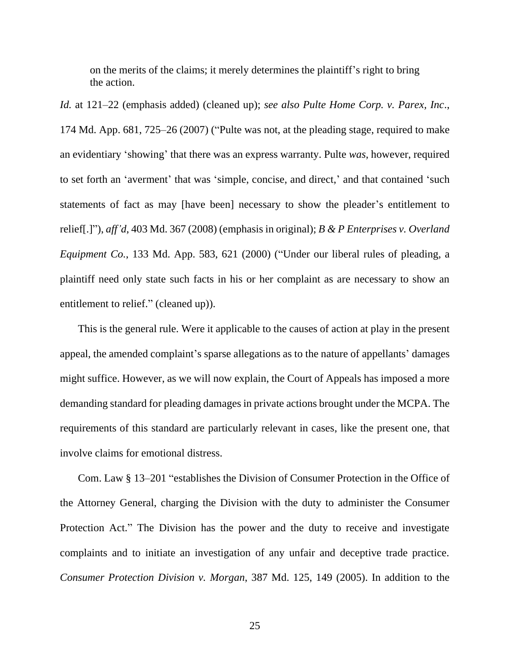on the merits of the claims; it merely determines the plaintiff's right to bring the action.

*Id.* at 121–22 (emphasis added) (cleaned up); *see also Pulte Home Corp. v. Parex, Inc*., 174 Md. App. 681, 725–26 (2007) ("Pulte was not, at the pleading stage, required to make an evidentiary 'showing' that there was an express warranty. Pulte *was*, however, required to set forth an 'averment' that was 'simple, concise, and direct,' and that contained 'such statements of fact as may [have been] necessary to show the pleader's entitlement to relief[.]"), *aff'd*, 403 Md. 367 (2008) (emphasis in original); *B & P Enterprises v. Overland Equipment Co.*, 133 Md. App. 583, 621 (2000) ("Under our liberal rules of pleading, a plaintiff need only state such facts in his or her complaint as are necessary to show an entitlement to relief." (cleaned up)).

This is the general rule. Were it applicable to the causes of action at play in the present appeal, the amended complaint's sparse allegations as to the nature of appellants' damages might suffice. However, as we will now explain, the Court of Appeals has imposed a more demanding standard for pleading damages in private actions brought under the MCPA. The requirements of this standard are particularly relevant in cases, like the present one, that involve claims for emotional distress.

Com. Law § 13–201 "establishes the Division of Consumer Protection in the Office of the Attorney General, charging the Division with the duty to administer the Consumer Protection Act." The Division has the power and the duty to receive and investigate complaints and to initiate an investigation of any unfair and deceptive trade practice. *Consumer Protection Division v. Morgan*, 387 Md. 125, 149 (2005). In addition to the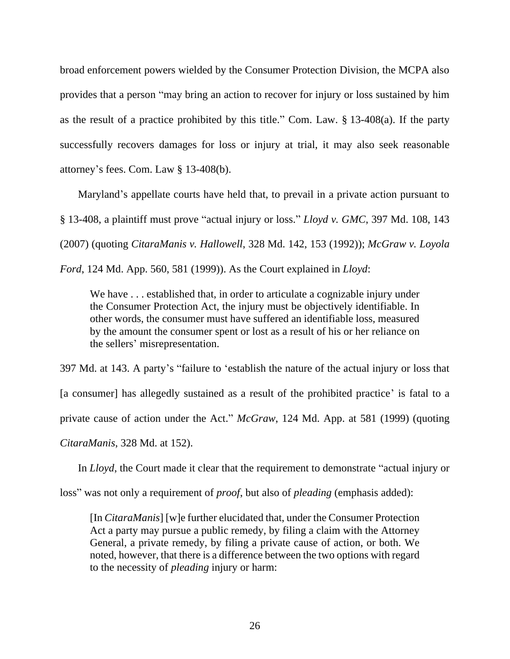broad enforcement powers wielded by the Consumer Protection Division, the MCPA also provides that a person "may bring an action to recover for injury or loss sustained by him as the result of a practice prohibited by this title." Com. Law. § 13-408(a). If the party successfully recovers damages for loss or injury at trial, it may also seek reasonable attorney's fees. Com. Law § 13-408(b).

Maryland's appellate courts have held that, to prevail in a private action pursuant to § 13-408, a plaintiff must prove "actual injury or loss." *Lloyd v. GMC*, 397 Md. 108, 143 (2007) (quoting *CitaraManis v. Hallowell*, 328 Md. 142, 153 (1992)); *McGraw v. Loyola* 

*Ford*, 124 Md. App. 560, 581 (1999)). As the Court explained in *Lloyd*:

We have . . . established that, in order to articulate a cognizable injury under the Consumer Protection Act, the injury must be objectively identifiable. In other words, the consumer must have suffered an identifiable loss, measured by the amount the consumer spent or lost as a result of his or her reliance on the sellers' misrepresentation.

397 Md. at 143. A party's "failure to 'establish the nature of the actual injury or loss that [a consumer] has allegedly sustained as a result of the prohibited practice' is fatal to a private cause of action under the Act." *McGraw*, 124 Md. App. at 581 (1999) (quoting *CitaraManis*, 328 Md. at 152).

In *Lloyd*, the Court made it clear that the requirement to demonstrate "actual injury or

loss" was not only a requirement of *proof*, but also of *pleading* (emphasis added):

[In *CitaraManis*] [w]e further elucidated that, under the Consumer Protection Act a party may pursue a public remedy, by filing a claim with the Attorney General, a private remedy, by filing a private cause of action, or both. We noted, however, that there is a difference between the two options with regard to the necessity of *pleading* injury or harm: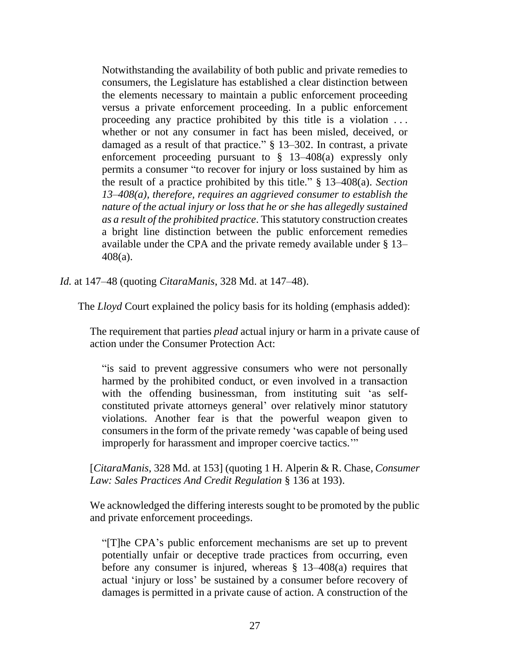Notwithstanding the availability of both public and private remedies to consumers, the Legislature has established a clear distinction between the elements necessary to maintain a public enforcement proceeding versus a private enforcement proceeding. In a public enforcement proceeding any practice prohibited by this title is a violation . . . whether or not any consumer in fact has been misled, deceived, or damaged as a result of that practice." § 13–302. In contrast, a private enforcement proceeding pursuant to  $\S$  13–408(a) expressly only permits a consumer "to recover for injury or loss sustained by him as the result of a practice prohibited by this title." § 13–408(a). *Section 13–408(a), therefore, requires an aggrieved consumer to establish the nature of the actual injury or loss that he or she has allegedly sustained as a result of the prohibited practice*. This statutory construction creates a bright line distinction between the public enforcement remedies available under the CPA and the private remedy available under § 13– 408(a).

*Id.* at 147–48 (quoting *CitaraManis*, 328 Md. at 147–48).

The *Lloyd* Court explained the policy basis for its holding (emphasis added):

The requirement that parties *plead* actual injury or harm in a private cause of action under the Consumer Protection Act:

"is said to prevent aggressive consumers who were not personally harmed by the prohibited conduct, or even involved in a transaction with the offending businessman, from instituting suit 'as selfconstituted private attorneys general' over relatively minor statutory violations. Another fear is that the powerful weapon given to consumers in the form of the private remedy 'was capable of being used improperly for harassment and improper coercive tactics.'"

[*CitaraManis*, 328 Md. at 153] (quoting 1 H. Alperin & R. Chase, *Consumer Law: Sales Practices And Credit Regulation* § 136 at 193).

We acknowledged the differing interests sought to be promoted by the public and private enforcement proceedings.

"[T]he CPA's public enforcement mechanisms are set up to prevent potentially unfair or deceptive trade practices from occurring, even before any consumer is injured, whereas § 13–408(a) requires that actual 'injury or loss' be sustained by a consumer before recovery of damages is permitted in a private cause of action. A construction of the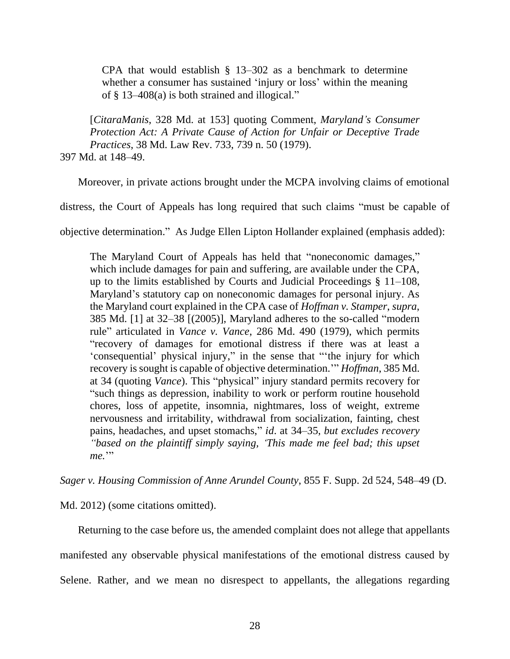CPA that would establish  $\S$  13–302 as a benchmark to determine whether a consumer has sustained 'injury or loss' within the meaning of § 13–408(a) is both strained and illogical."

[*CitaraManis*, 328 Md. at 153] quoting Comment, *Maryland's Consumer Protection Act: A Private Cause of Action for Unfair or Deceptive Trade Practices*, 38 Md. Law Rev. 733, 739 n. 50 (1979). 397 Md. at 148–49.

Moreover, in private actions brought under the MCPA involving claims of emotional

distress, the Court of Appeals has long required that such claims "must be capable of

objective determination." As Judge Ellen Lipton Hollander explained (emphasis added):

The Maryland Court of Appeals has held that "noneconomic damages," which include damages for pain and suffering, are available under the CPA, up to the limits established by Courts and Judicial Proceedings § 11–108, Maryland's statutory cap on noneconomic damages for personal injury. As the Maryland court explained in the CPA case of *Hoffman v. Stamper*, *supra*, 385 Md. [1] at 32–38 [(2005)], Maryland adheres to the so-called "modern rule" articulated in *Vance v. Vance*, 286 Md. 490 (1979), which permits "recovery of damages for emotional distress if there was at least a 'consequential' physical injury," in the sense that "'the injury for which recovery is sought is capable of objective determination.'" *Hoffman*, 385 Md. at 34 (quoting *Vance*). This "physical" injury standard permits recovery for "such things as depression, inability to work or perform routine household chores, loss of appetite, insomnia, nightmares, loss of weight, extreme nervousness and irritability, withdrawal from socialization, fainting, chest pains, headaches, and upset stomachs," *id*. at 34–35, *but excludes recovery "based on the plaintiff simply saying, 'This made me feel bad; this upset*  me."

*Sager v. Housing Commission of Anne Arundel County*, 855 F. Supp. 2d 524, 548–49 (D.

Md. 2012) (some citations omitted).

Returning to the case before us, the amended complaint does not allege that appellants manifested any observable physical manifestations of the emotional distress caused by Selene. Rather, and we mean no disrespect to appellants, the allegations regarding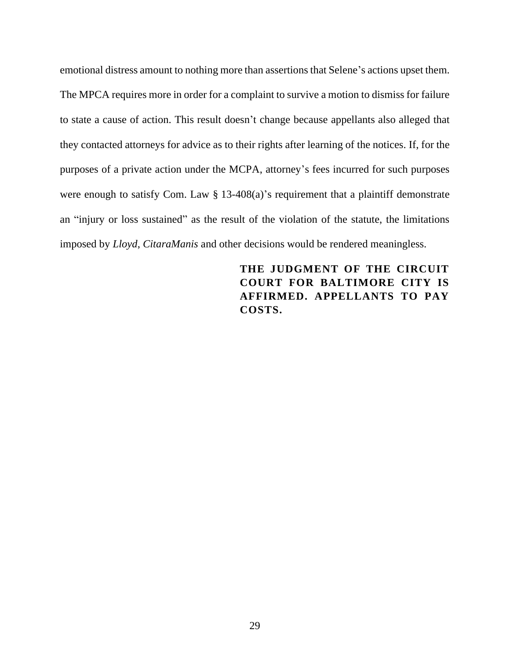emotional distress amount to nothing more than assertions that Selene's actions upset them. The MPCA requires more in order for a complaint to survive a motion to dismiss for failure to state a cause of action. This result doesn't change because appellants also alleged that they contacted attorneys for advice as to their rights after learning of the notices. If, for the purposes of a private action under the MCPA, attorney's fees incurred for such purposes were enough to satisfy Com. Law § 13-408(a)'s requirement that a plaintiff demonstrate an "injury or loss sustained" as the result of the violation of the statute, the limitations imposed by *Lloyd*, *CitaraManis* and other decisions would be rendered meaningless.

> **THE JUDGMENT OF THE CIRCUIT COURT FOR BALTIMORE CITY IS AFFIRMED. APPELLANTS TO PAY COSTS.**